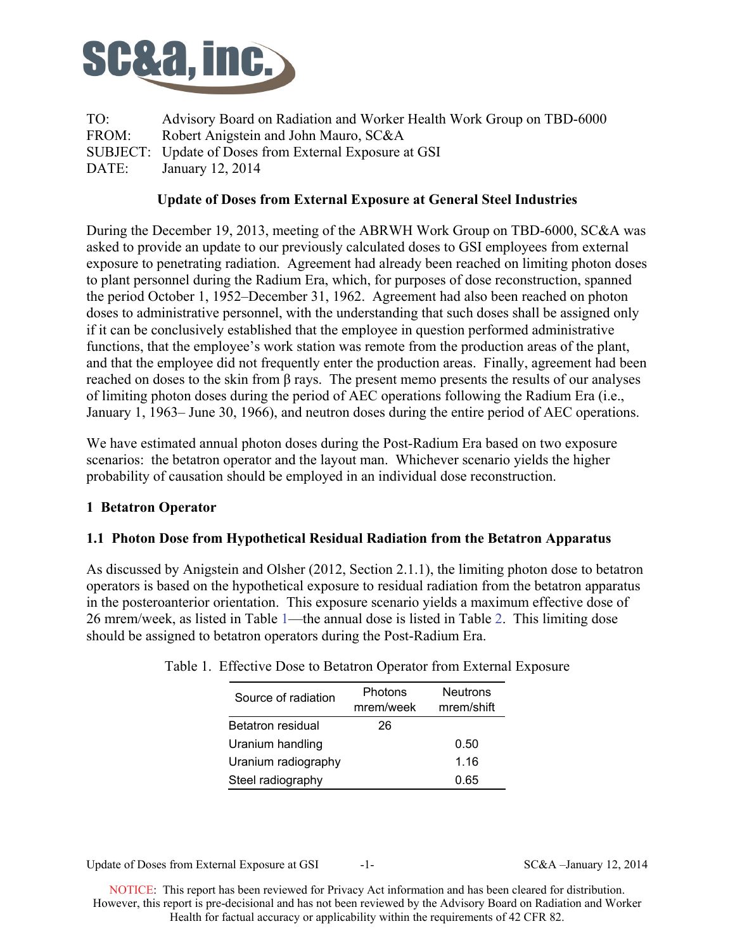

TO: Advisory Board on Radiation and Worker Health Work Group on TBD-6000 FROM: Robert Anigstein and John Mauro, SC&A SUBJECT: Update of Doses from External Exposure at GSI DATE: January 12, 2014

## **Update of Doses from External Exposure at General Steel Industries**

During the December 19, 2013, meeting of the ABRWH Work Group on TBD-6000, SC&A was asked to provide an update to our previously calculated doses to GSI employees from external exposure to penetrating radiation. Agreement had already been reached on limiting photon doses to plant personnel during the Radium Era, which, for purposes of dose reconstruction, spanned the period October 1, 1952–December 31, 1962. Agreement had also been reached on photon doses to administrative personnel, with the understanding that such doses shall be assigned only if it can be conclusively established that the employee in question performed administrative functions, that the employee's work station was remote from the production areas of the plant, and that the employee did not frequently enter the production areas. Finally, agreement had been reached on doses to the skin from β rays. The present memo presents the results of our analyses of limiting photon doses during the period of AEC operations following the Radium Era (i.e., January 1, 1963– June 30, 1966), and neutron doses during the entire period of AEC operations.

We have estimated annual photon doses during the Post-Radium Era based on two exposure scenarios: the betatron operator and the layout man. Whichever scenario yields the higher probability of causation should be employed in an individual dose reconstruction.

# **1 Betatron Operator**

### **1.1 Photon Dose from Hypothetical Residual Radiation from the Betatron Apparatus**

As discussed by Anigstein and Olsher (2012, Section 2.1.1), the limiting photon dose to betatron operators is based on the hypothetical exposure to residual radiation from the betatron apparatus in the posteroanterior orientation. This exposure scenario yields a maximum effective dose of 26 mrem/week, as listed in Table 1—the annual dose is listed in Table 2. This limiting dose should be assigned to betatron operators during the Post-Radium Era.

| Source of radiation | Photons<br>mrem/week | <b>Neutrons</b><br>mrem/shift |
|---------------------|----------------------|-------------------------------|
| Betatron residual   | 26                   |                               |
| Uranium handling    |                      | 0.50                          |
| Uranium radiography |                      | 1.16                          |
| Steel radiography   |                      | 0.65                          |

| Table 1. Effective Dose to Betatron Operator from External Exposure |  |
|---------------------------------------------------------------------|--|
|---------------------------------------------------------------------|--|

Update of Doses from External Exposure at GSI  $-1$ - SC&A –January 12, 2014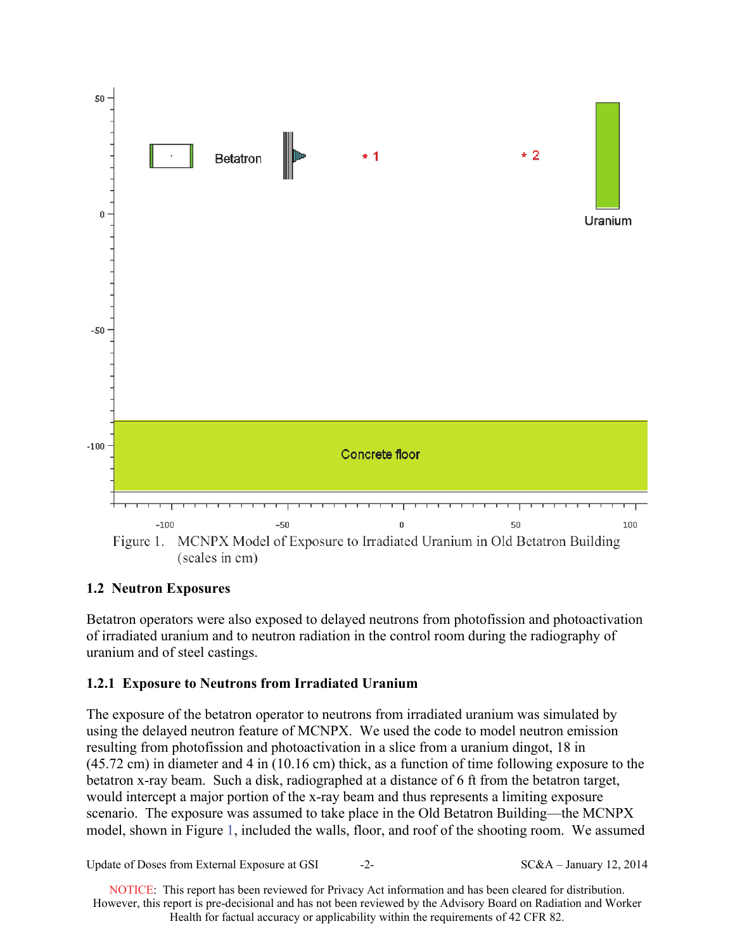

### **1.2 Neutron Exposures**

Betatron operators were also exposed to delayed neutrons from photofission and photoactivation of irradiated uranium and to neutron radiation in the control room during the radiography of uranium and of steel castings.

### **1.2.1 Exposure to Neutrons from Irradiated Uranium**

The exposure of the betatron operator to neutrons from irradiated uranium was simulated by using the delayed neutron feature of MCNPX. We used the code to model neutron emission resulting from photofission and photoactivation in a slice from a uranium dingot, 18 in (45.72 cm) in diameter and 4 in (10.16 cm) thick, as a function of time following exposure to the betatron x-ray beam. Such a disk, radiographed at a distance of 6 ft from the betatron target, would intercept a major portion of the x-ray beam and thus represents a limiting exposure scenario. The exposure was assumed to take place in the Old Betatron Building—the MCNPX model, shown in Figure 1, included the walls, floor, and roof of the shooting room. We assumed

Update of Doses from External Exposure at GSI  $-2-$  SC&A – January 12, 2014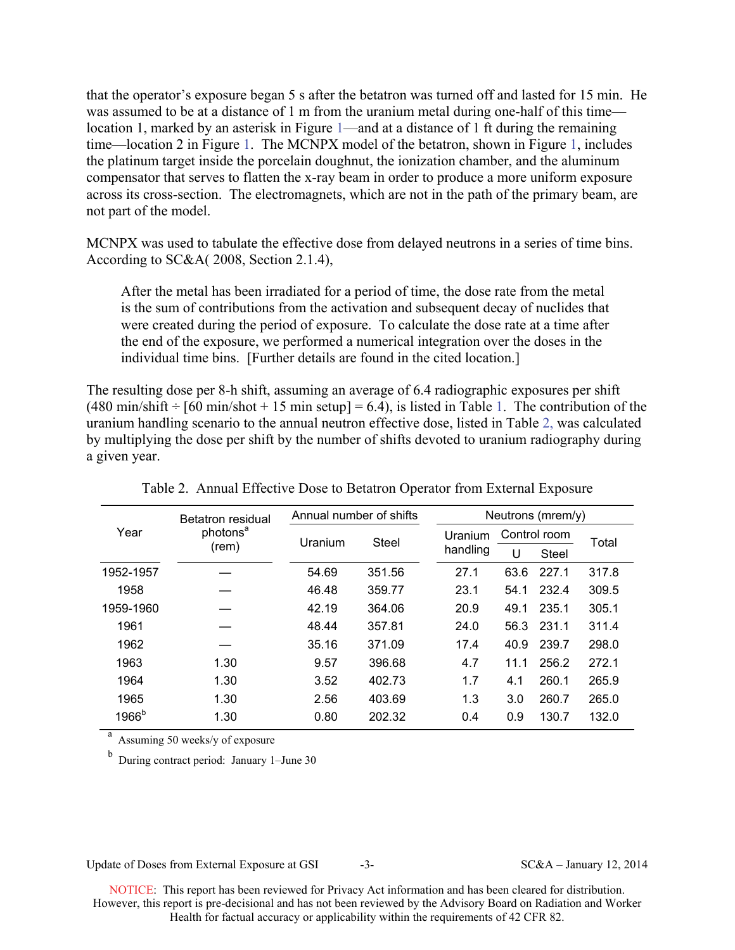that the operator's exposure began 5 s after the betatron was turned off and lasted for 15 min. He was assumed to be at a distance of 1 m from the uranium metal during one-half of this time location 1, marked by an asterisk in Figure 1—and at a distance of 1 ft during the remaining time—location 2 in Figure 1. The MCNPX model of the betatron, shown in Figure 1, includes the platinum target inside the porcelain doughnut, the ionization chamber, and the aluminum compensator that serves to flatten the x-ray beam in order to produce a more uniform exposure across its cross-section. The electromagnets, which are not in the path of the primary beam, are not part of the model.

MCNPX was used to tabulate the effective dose from delayed neutrons in a series of time bins. According to SC&A( 2008, Section 2.1.4),

After the metal has been irradiated for a period of time, the dose rate from the metal is the sum of contributions from the activation and subsequent decay of nuclides that were created during the period of exposure. To calculate the dose rate at a time after the end of the exposure, we performed a numerical integration over the doses in the individual time bins. [Further details are found in the cited location.]

The resulting dose per 8-h shift, assuming an average of 6.4 radiographic exposures per shift  $(480 \text{ min/s} \text{hit} \div [60 \text{ min/s} \text{hot} + 15 \text{ min} \text{ setup}] = 6.4)$ , is listed in Table 1. The contribution of the uranium handling scenario to the annual neutron effective dose, listed in Table 2, was calculated by multiplying the dose per shift by the number of shifts devoted to uranium radiography during a given year.

| Year              | <b>Betatron residual</b><br>photons <sup>a</sup><br>(rem) | Annual number of shifts |              |          | Neutrons (mrem/y) |              |       |  |
|-------------------|-----------------------------------------------------------|-------------------------|--------------|----------|-------------------|--------------|-------|--|
|                   |                                                           | Uranium                 | <b>Steel</b> | Uranium  | Control room      |              | Total |  |
|                   |                                                           |                         |              | handling | U                 | <b>Steel</b> |       |  |
| 1952-1957         |                                                           | 54.69                   | 351.56       | 27.1     | 63.6              | 227.1        | 317.8 |  |
| 1958              |                                                           | 46.48                   | 359.77       | 23.1     | 54.1              | 232.4        | 309.5 |  |
| 1959-1960         |                                                           | 42.19                   | 364.06       | 20.9     | 49.1              | 235.1        | 305.1 |  |
| 1961              |                                                           | 48.44                   | 357.81       | 24.0     | 56.3              | 231.1        | 311.4 |  |
| 1962              |                                                           | 35.16                   | 371.09       | 17.4     | 40.9              | 239.7        | 298.0 |  |
| 1963              | 1.30                                                      | 9.57                    | 396.68       | 4.7      | 11.1              | 256.2        | 272.1 |  |
| 1964              | 1.30                                                      | 3.52                    | 402.73       | 1.7      | 4.1               | 260.1        | 265.9 |  |
| 1965              | 1.30                                                      | 2.56                    | 403.69       | 1.3      | 3.0               | 260.7        | 265.0 |  |
| 1966 <sup>b</sup> | 1.30                                                      | 0.80                    | 202.32       | 0.4      | 0.9               | 130.7        | 132.0 |  |

Table 2. Annual Effective Dose to Betatron Operator from External Exposure

a Assuming 50 weeks/y of exposure

b During contract period: January 1–June 30

Update of Doses from External Exposure at GSI  $-3-$  SC&A – January 12, 2014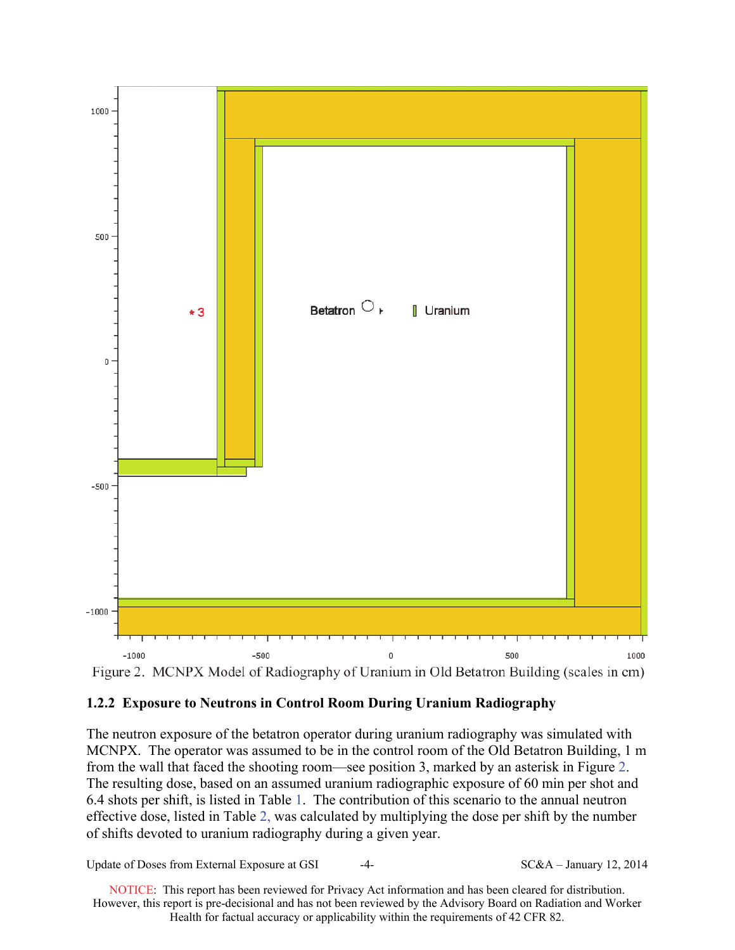

## **1.2.2 Exposure to Neutrons in Control Room During Uranium Radiography**

The neutron exposure of the betatron operator during uranium radiography was simulated with MCNPX. The operator was assumed to be in the control room of the Old Betatron Building, 1 m from the wall that faced the shooting room—see position 3, marked by an asterisk in Figure 2. The resulting dose, based on an assumed uranium radiographic exposure of 60 min per shot and 6.4 shots per shift, is listed in Table 1. The contribution of this scenario to the annual neutron effective dose, listed in Table 2, was calculated by multiplying the dose per shift by the number of shifts devoted to uranium radiography during a given year.

Update of Doses from External Exposure at GSI  $-4-$  SC&A – January 12, 2014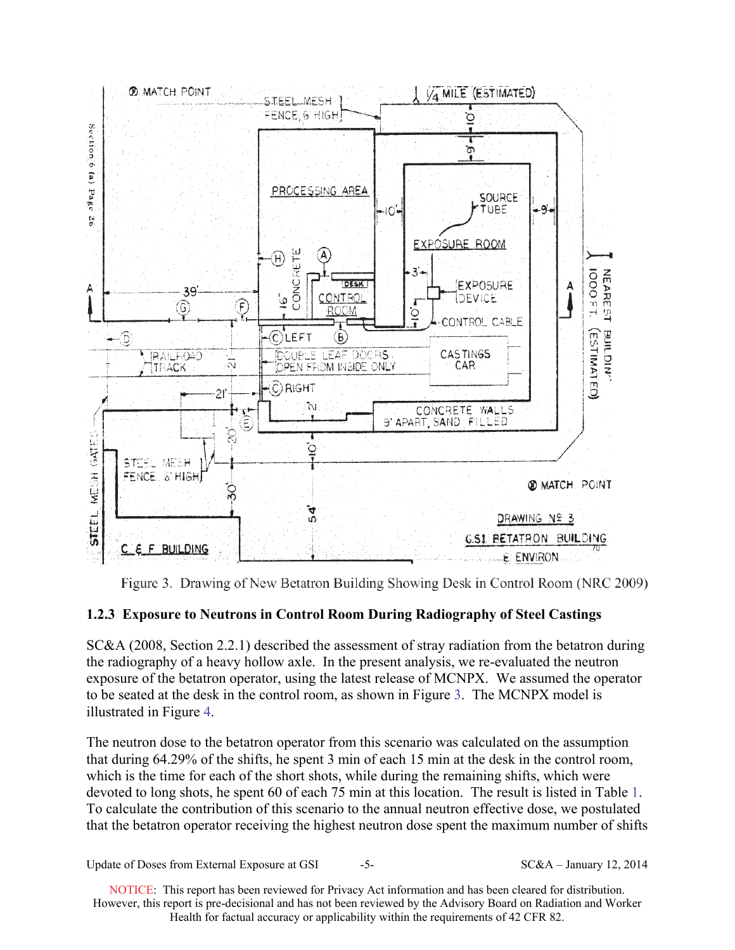

Figure 3. Drawing of New Betatron Building Showing Desk in Control Room (NRC 2009)

# **1.2.3 Exposure to Neutrons in Control Room During Radiography of Steel Castings**

SC&A (2008, Section 2.2.1) described the assessment of stray radiation from the betatron during the radiography of a heavy hollow axle. In the present analysis, we re-evaluated the neutron exposure of the betatron operator, using the latest release of MCNPX. We assumed the operator to be seated at the desk in the control room, as shown in Figure 3. The MCNPX model is illustrated in Figure 4.

The neutron dose to the betatron operator from this scenario was calculated on the assumption that during 64.29% of the shifts, he spent 3 min of each 15 min at the desk in the control room, which is the time for each of the short shots, while during the remaining shifts, which were devoted to long shots, he spent 60 of each 75 min at this location. The result is listed in Table 1. To calculate the contribution of this scenario to the annual neutron effective dose, we postulated that the betatron operator receiving the highest neutron dose spent the maximum number of shifts

Update of Doses from External Exposure at GSI  $-5-$  SC&A – January 12, 2014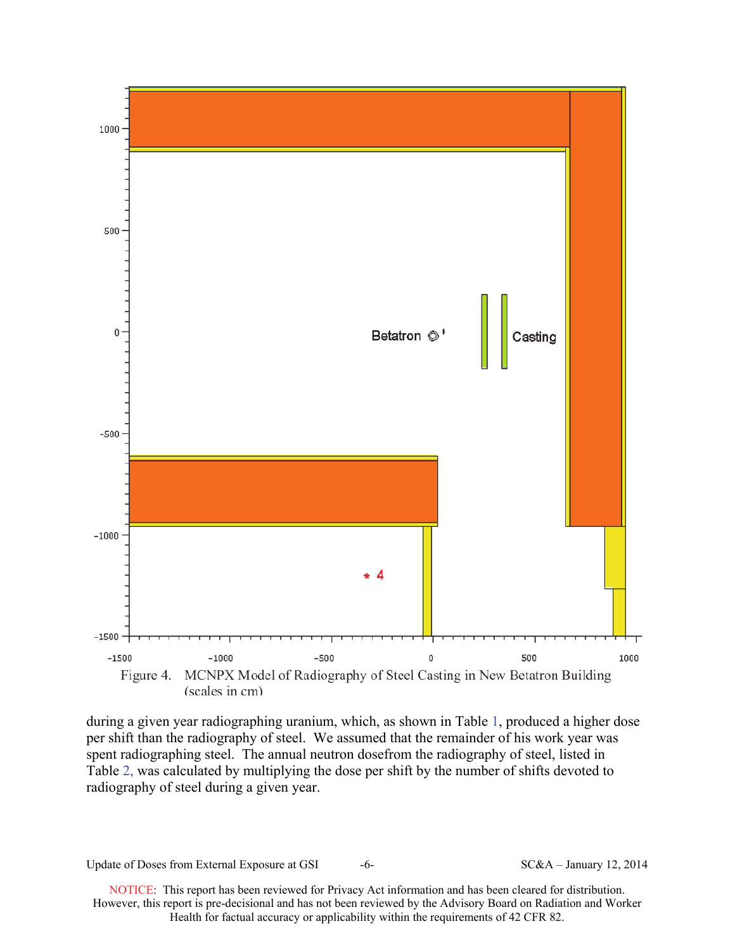

during a given year radiographing uranium, which, as shown in Table 1, produced a higher dose per shift than the radiography of steel. We assumed that the remainder of his work year was spent radiographing steel. The annual neutron dosefrom the radiography of steel, listed in Table 2, was calculated by multiplying the dose per shift by the number of shifts devoted to radiography of steel during a given year.

Update of Doses from External Exposure at GSI  $-6-$  SC&A – January 12, 2014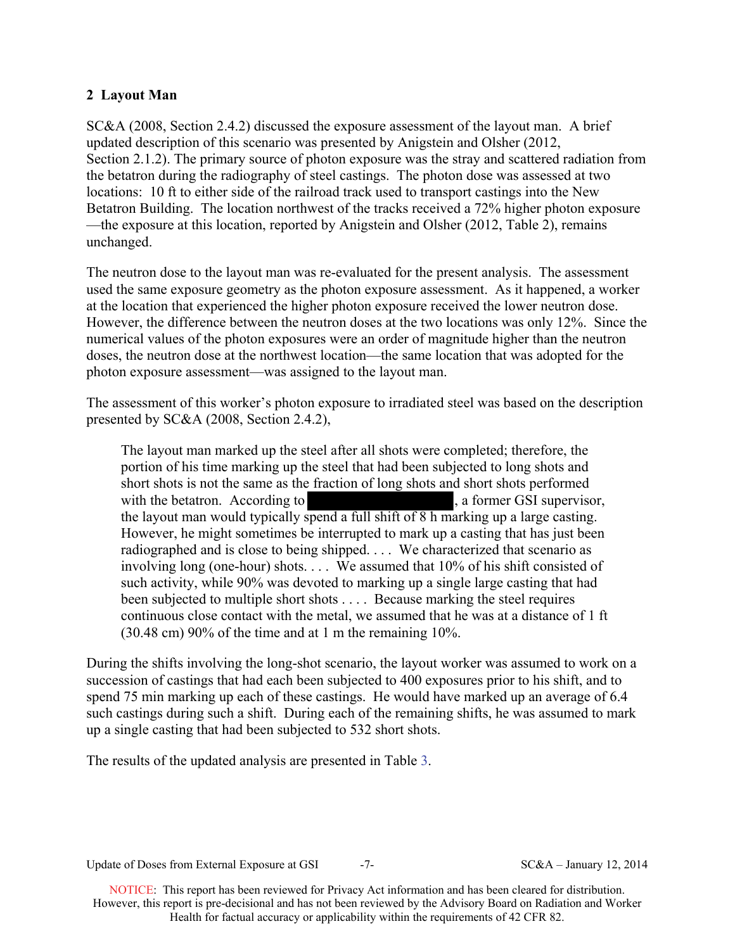## **2 Layout Man**

SC&A (2008, Section 2.4.2) discussed the exposure assessment of the layout man. A brief updated description of this scenario was presented by Anigstein and Olsher (2012, Section 2.1.2). The primary source of photon exposure was the stray and scattered radiation from the betatron during the radiography of steel castings. The photon dose was assessed at two locations: 10 ft to either side of the railroad track used to transport castings into the New Betatron Building. The location northwest of the tracks received a 72% higher photon exposure —the exposure at this location, reported by Anigstein and Olsher (2012, Table 2), remains unchanged.

The neutron dose to the layout man was re-evaluated for the present analysis. The assessment used the same exposure geometry as the photon exposure assessment. As it happened, a worker at the location that experienced the higher photon exposure received the lower neutron dose. However, the difference between the neutron doses at the two locations was only 12%. Since the numerical values of the photon exposures were an order of magnitude higher than the neutron doses, the neutron dose at the northwest location—the same location that was adopted for the photon exposure assessment—was assigned to the layout man.

The assessment of this worker's photon exposure to irradiated steel was based on the description presented by SC&A (2008, Section 2.4.2),

The layout man marked up the steel after all shots were completed; therefore, the portion of his time marking up the steel that had been subjected to long shots and short shots is not the same as the fraction of long shots and short shots performed with the betatron. According to , a former GSI supervisor, the layout man would typically spend a full shift of 8 h marking up a large casting. However, he might sometimes be interrupted to mark up a casting that has just been radiographed and is close to being shipped. . . . We characterized that scenario as involving long (one-hour) shots. . . . We assumed that 10% of his shift consisted of such activity, while 90% was devoted to marking up a single large casting that had been subjected to multiple short shots . . . . Because marking the steel requires continuous close contact with the metal, we assumed that he was at a distance of 1 ft (30.48 cm) 90% of the time and at 1 m the remaining 10%.

During the shifts involving the long-shot scenario, the layout worker was assumed to work on a succession of castings that had each been subjected to 400 exposures prior to his shift, and to spend 75 min marking up each of these castings. He would have marked up an average of 6.4 such castings during such a shift. During each of the remaining shifts, he was assumed to mark up a single casting that had been subjected to 532 short shots.

The results of the updated analysis are presented in Table 3.